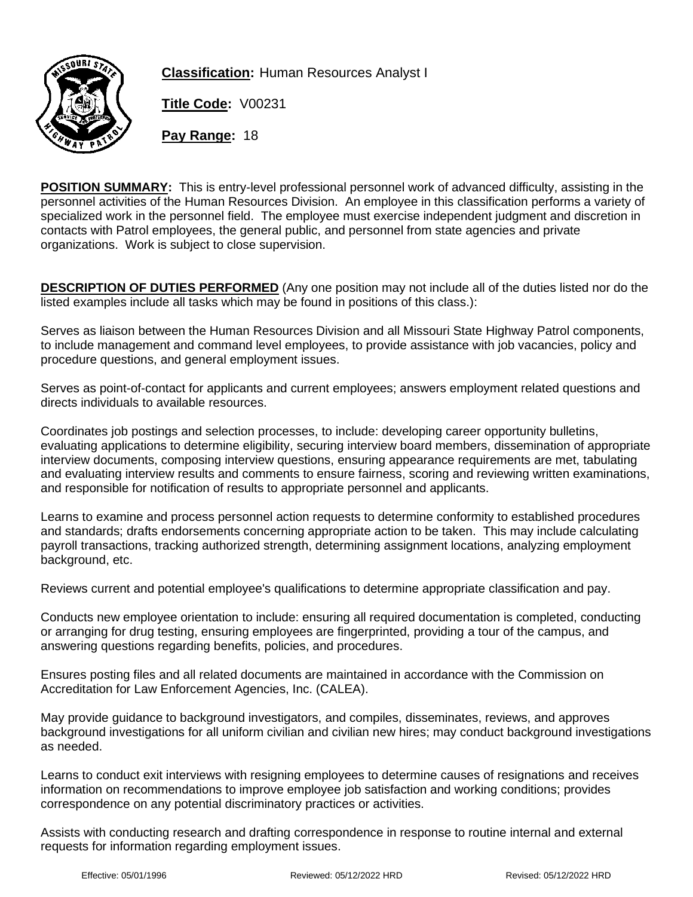

**Classification:** Human Resources Analyst I

**Title Code:** V00231

**Pay Range:** 18

**POSITION SUMMARY:** This is entry-level professional personnel work of advanced difficulty, assisting in the personnel activities of the Human Resources Division. An employee in this classification performs a variety of specialized work in the personnel field. The employee must exercise independent judgment and discretion in contacts with Patrol employees, the general public, and personnel from state agencies and private organizations. Work is subject to close supervision.

**DESCRIPTION OF DUTIES PERFORMED** (Any one position may not include all of the duties listed nor do the listed examples include all tasks which may be found in positions of this class.):

Serves as liaison between the Human Resources Division and all Missouri State Highway Patrol components, to include management and command level employees, to provide assistance with job vacancies, policy and procedure questions, and general employment issues.

Serves as point-of-contact for applicants and current employees; answers employment related questions and directs individuals to available resources.

Coordinates job postings and selection processes, to include: developing career opportunity bulletins, evaluating applications to determine eligibility, securing interview board members, dissemination of appropriate interview documents, composing interview questions, ensuring appearance requirements are met, tabulating and evaluating interview results and comments to ensure fairness, scoring and reviewing written examinations, and responsible for notification of results to appropriate personnel and applicants.

Learns to examine and process personnel action requests to determine conformity to established procedures and standards; drafts endorsements concerning appropriate action to be taken. This may include calculating payroll transactions, tracking authorized strength, determining assignment locations, analyzing employment background, etc.

Reviews current and potential employee's qualifications to determine appropriate classification and pay.

Conducts new employee orientation to include: ensuring all required documentation is completed, conducting or arranging for drug testing, ensuring employees are fingerprinted, providing a tour of the campus, and answering questions regarding benefits, policies, and procedures.

Ensures posting files and all related documents are maintained in accordance with the Commission on Accreditation for Law Enforcement Agencies, Inc. (CALEA).

May provide guidance to background investigators, and compiles, disseminates, reviews, and approves background investigations for all uniform civilian and civilian new hires; may conduct background investigations as needed.

Learns to conduct exit interviews with resigning employees to determine causes of resignations and receives information on recommendations to improve employee job satisfaction and working conditions; provides correspondence on any potential discriminatory practices or activities.

Assists with conducting research and drafting correspondence in response to routine internal and external requests for information regarding employment issues.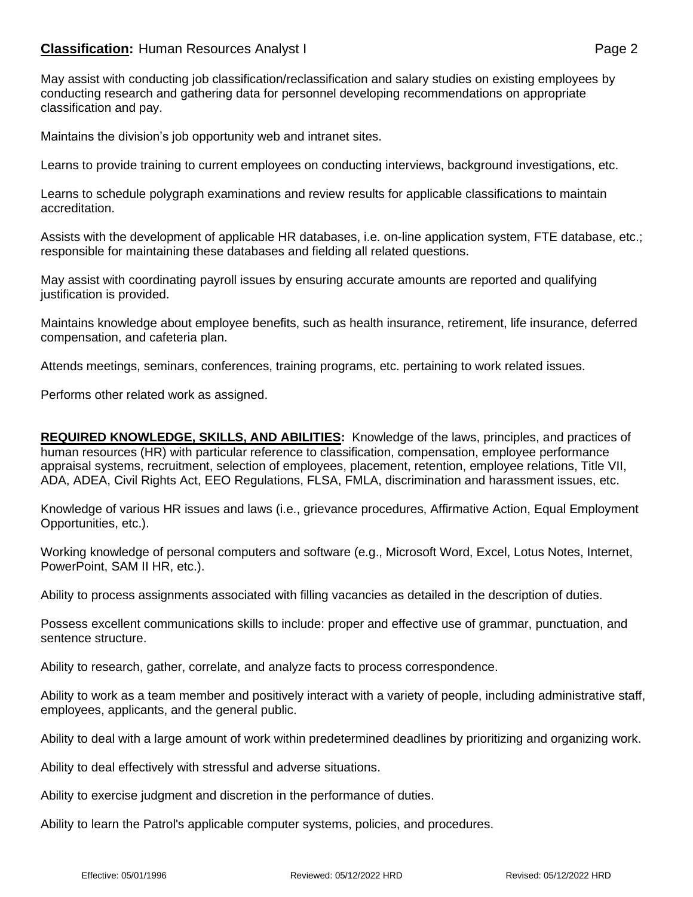## **Classification:** Human Resources Analyst I **Classification:** Page 2

May assist with conducting job classification/reclassification and salary studies on existing employees by conducting research and gathering data for personnel developing recommendations on appropriate classification and pay.

Maintains the division's job opportunity web and intranet sites.

Learns to provide training to current employees on conducting interviews, background investigations, etc.

Learns to schedule polygraph examinations and review results for applicable classifications to maintain accreditation.

Assists with the development of applicable HR databases, i.e. on-line application system, FTE database, etc.; responsible for maintaining these databases and fielding all related questions.

May assist with coordinating payroll issues by ensuring accurate amounts are reported and qualifying justification is provided.

Maintains knowledge about employee benefits, such as health insurance, retirement, life insurance, deferred compensation, and cafeteria plan.

Attends meetings, seminars, conferences, training programs, etc. pertaining to work related issues.

Performs other related work as assigned.

**REQUIRED KNOWLEDGE, SKILLS, AND ABILITIES:** Knowledge of the laws, principles, and practices of human resources (HR) with particular reference to classification, compensation, employee performance appraisal systems, recruitment, selection of employees, placement, retention, employee relations, Title VII, ADA, ADEA, Civil Rights Act, EEO Regulations, FLSA, FMLA, discrimination and harassment issues, etc.

Knowledge of various HR issues and laws (i.e., grievance procedures, Affirmative Action, Equal Employment Opportunities, etc.).

Working knowledge of personal computers and software (e.g., Microsoft Word, Excel, Lotus Notes, Internet, PowerPoint, SAM II HR, etc.).

Ability to process assignments associated with filling vacancies as detailed in the description of duties.

Possess excellent communications skills to include: proper and effective use of grammar, punctuation, and sentence structure.

Ability to research, gather, correlate, and analyze facts to process correspondence.

Ability to work as a team member and positively interact with a variety of people, including administrative staff, employees, applicants, and the general public.

Ability to deal with a large amount of work within predetermined deadlines by prioritizing and organizing work.

Ability to deal effectively with stressful and adverse situations.

Ability to exercise judgment and discretion in the performance of duties.

Ability to learn the Patrol's applicable computer systems, policies, and procedures.